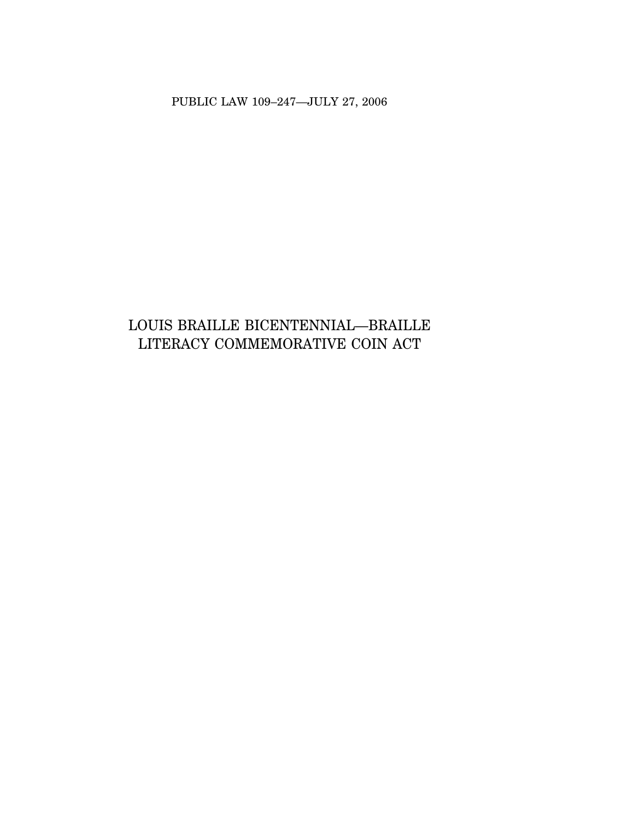PUBLIC LAW 109–247—JULY 27, 2006

# LOUIS BRAILLE BICENTENNIAL—BRAILLE LITERACY COMMEMORATIVE COIN ACT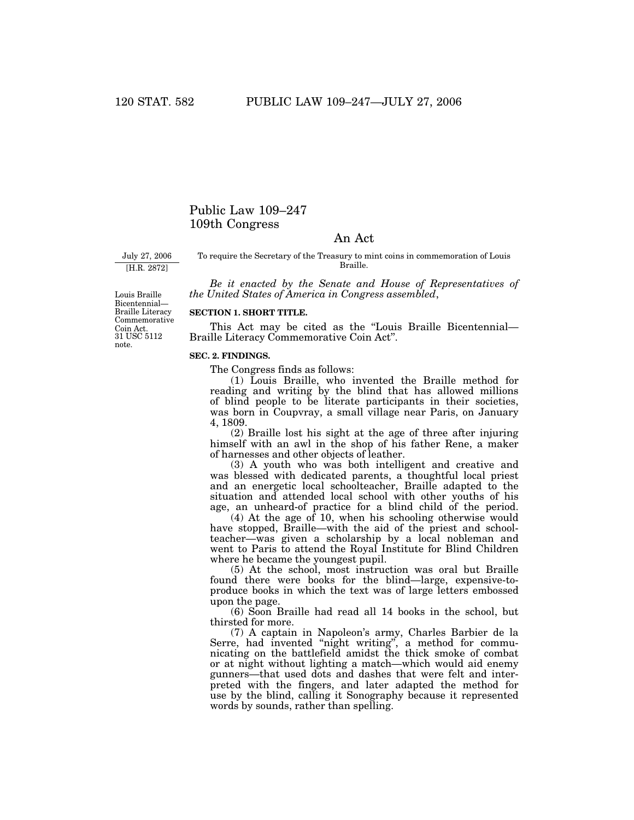# Public Law 109–247 109th Congress

# An Act

July 27, 2006 [H.R. 2872]

To require the Secretary of the Treasury to mint coins in commemoration of Louis Braille.

*Be it enacted by the Senate and House of Representatives of the United States of America in Congress assembled*,

31 USC 5112 note. Louis Braille Bicentennial— Braille Literacy Commemorative Coin Act.

# **SECTION 1. SHORT TITLE.**

This Act may be cited as the ''Louis Braille Bicentennial— Braille Literacy Commemorative Coin Act''.

#### **SEC. 2. FINDINGS.**

The Congress finds as follows:

(1) Louis Braille, who invented the Braille method for reading and writing by the blind that has allowed millions of blind people to be literate participants in their societies, was born in Coupvray, a small village near Paris, on January 4, 1809.

(2) Braille lost his sight at the age of three after injuring himself with an awl in the shop of his father Rene, a maker of harnesses and other objects of leather.

(3) A youth who was both intelligent and creative and was blessed with dedicated parents, a thoughtful local priest and an energetic local schoolteacher, Braille adapted to the situation and attended local school with other youths of his age, an unheard-of practice for a blind child of the period.

(4) At the age of 10, when his schooling otherwise would have stopped, Braille—with the aid of the priest and schoolteacher—was given a scholarship by a local nobleman and went to Paris to attend the Royal Institute for Blind Children where he became the youngest pupil.

(5) At the school, most instruction was oral but Braille found there were books for the blind—large, expensive-toproduce books in which the text was of large letters embossed upon the page.

(6) Soon Braille had read all 14 books in the school, but thirsted for more.

(7) A captain in Napoleon's army, Charles Barbier de la Serre, had invented "night writing", a method for communicating on the battlefield amidst the thick smoke of combat or at night without lighting a match—which would aid enemy gunners—that used dots and dashes that were felt and interpreted with the fingers, and later adapted the method for use by the blind, calling it Sonography because it represented words by sounds, rather than spelling.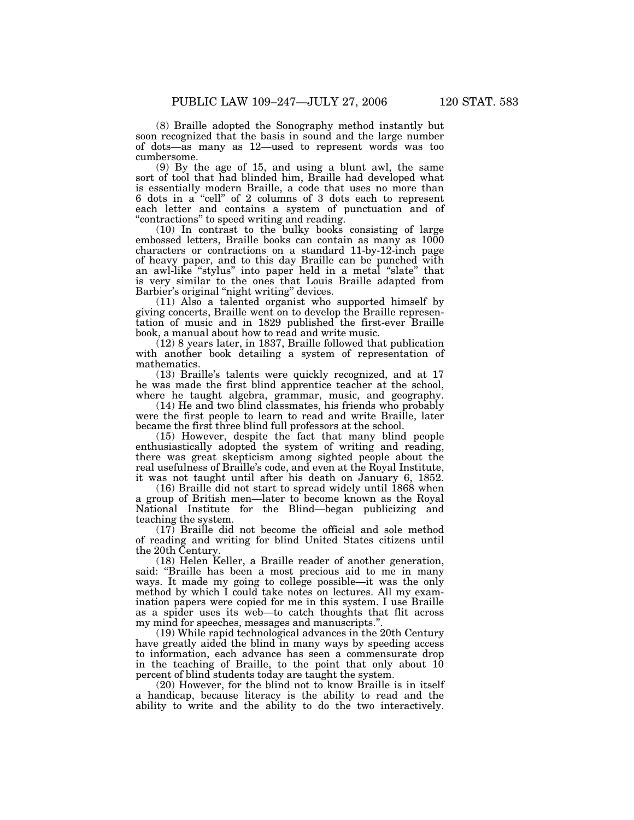(8) Braille adopted the Sonography method instantly but soon recognized that the basis in sound and the large number of dots—as many as 12—used to represent words was too cumbersome.

(9) By the age of 15, and using a blunt awl, the same sort of tool that had blinded him, Braille had developed what is essentially modern Braille, a code that uses no more than 6 dots in a ''cell'' of 2 columns of 3 dots each to represent each letter and contains a system of punctuation and of ''contractions'' to speed writing and reading.

(10) In contrast to the bulky books consisting of large embossed letters, Braille books can contain as many as  $1000$ characters or contractions on a standard 11-by-12-inch page of heavy paper, and to this day Braille can be punched with an awl-like ''stylus'' into paper held in a metal ''slate'' that is very similar to the ones that Louis Braille adapted from Barbier's original "night writing" devices.

(11) Also a talented organist who supported himself by giving concerts, Braille went on to develop the Braille representation of music and in 1829 published the first-ever Braille book, a manual about how to read and write music.

(12) 8 years later, in 1837, Braille followed that publication with another book detailing a system of representation of mathematics.

(13) Braille's talents were quickly recognized, and at 17 he was made the first blind apprentice teacher at the school, where he taught algebra, grammar, music, and geography.

(14) He and two blind classmates, his friends who probably were the first people to learn to read and write Braille, later became the first three blind full professors at the school.

(15) However, despite the fact that many blind people enthusiastically adopted the system of writing and reading, there was great skepticism among sighted people about the real usefulness of Braille's code, and even at the Royal Institute, it was not taught until after his death on January 6, 1852.

(16) Braille did not start to spread widely until 1868 when a group of British men—later to become known as the Royal National Institute for the Blind—began publicizing and teaching the system.

(17) Braille did not become the official and sole method of reading and writing for blind United States citizens until the 20th Century.

(18) Helen Keller, a Braille reader of another generation, said: ''Braille has been a most precious aid to me in many ways. It made my going to college possible—it was the only method by which I could take notes on lectures. All my examination papers were copied for me in this system. I use Braille as a spider uses its web—to catch thoughts that flit across my mind for speeches, messages and manuscripts.''.

(19) While rapid technological advances in the 20th Century have greatly aided the blind in many ways by speeding access to information, each advance has seen a commensurate drop in the teaching of Braille, to the point that only about 10 percent of blind students today are taught the system.

(20) However, for the blind not to know Braille is in itself a handicap, because literacy is the ability to read and the ability to write and the ability to do the two interactively.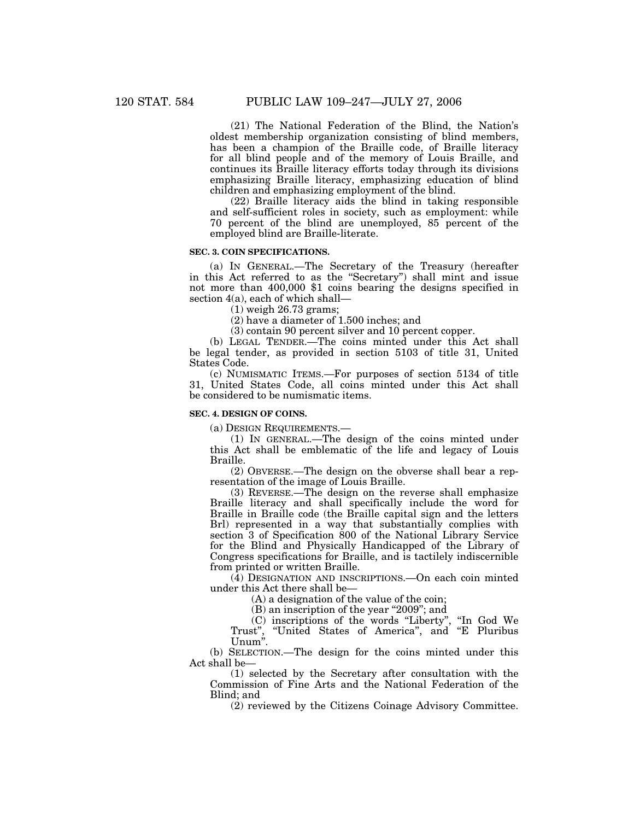(21) The National Federation of the Blind, the Nation's oldest membership organization consisting of blind members, has been a champion of the Braille code, of Braille literacy for all blind people and of the memory of Louis Braille, and continues its Braille literacy efforts today through its divisions emphasizing Braille literacy, emphasizing education of blind children and emphasizing employment of the blind.

(22) Braille literacy aids the blind in taking responsible and self-sufficient roles in society, such as employment: while 70 percent of the blind are unemployed, 85 percent of the employed blind are Braille-literate.

# **SEC. 3. COIN SPECIFICATIONS.**

(a) IN GENERAL.—The Secretary of the Treasury (hereafter in this Act referred to as the ''Secretary'') shall mint and issue not more than 400,000 \$1 coins bearing the designs specified in section 4(a), each of which shall—

(1) weigh 26.73 grams;

(2) have a diameter of 1.500 inches; and

(3) contain 90 percent silver and 10 percent copper.

(b) LEGAL TENDER.—The coins minted under this Act shall be legal tender, as provided in section 5103 of title 31, United States Code.

(c) NUMISMATIC ITEMS.—For purposes of section 5134 of title 31, United States Code, all coins minted under this Act shall be considered to be numismatic items.

### **SEC. 4. DESIGN OF COINS.**

(a) DESIGN REQUIREMENTS.—

(1) IN GENERAL.—The design of the coins minted under this Act shall be emblematic of the life and legacy of Louis Braille.

(2) OBVERSE.—The design on the obverse shall bear a representation of the image of Louis Braille.

(3) REVERSE.—The design on the reverse shall emphasize Braille literacy and shall specifically include the word for Braille in Braille code (the Braille capital sign and the letters Brl) represented in a way that substantially complies with section 3 of Specification 800 of the National Library Service for the Blind and Physically Handicapped of the Library of Congress specifications for Braille, and is tactilely indiscernible from printed or written Braille.

(4) DESIGNATION AND INSCRIPTIONS.—On each coin minted under this Act there shall be—

(A) a designation of the value of the coin;

(B) an inscription of the year ''2009''; and

(C) inscriptions of the words ''Liberty'', ''In God We Trust", "United States of America", and "E Pluribus Unum''.

(b) SELECTION.—The design for the coins minted under this Act shall be—

(1) selected by the Secretary after consultation with the Commission of Fine Arts and the National Federation of the Blind; and

(2) reviewed by the Citizens Coinage Advisory Committee.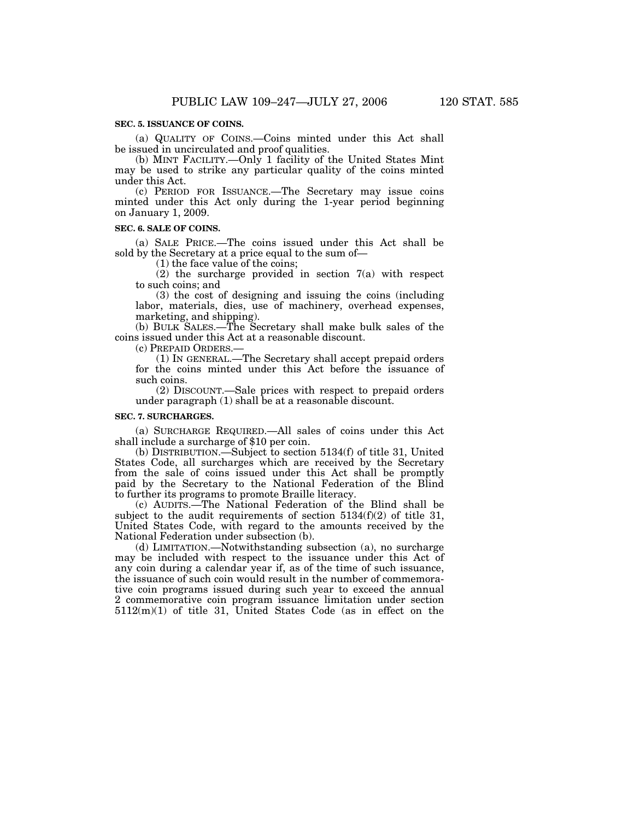## **SEC. 5. ISSUANCE OF COINS.**

(a) QUALITY OF COINS.—Coins minted under this Act shall be issued in uncirculated and proof qualities.

(b) MINT FACILITY.—Only 1 facility of the United States Mint may be used to strike any particular quality of the coins minted under this Act.

(c) PERIOD FOR ISSUANCE.—The Secretary may issue coins minted under this Act only during the 1-year period beginning on January 1, 2009.

#### **SEC. 6. SALE OF COINS.**

(a) SALE PRICE.—The coins issued under this Act shall be sold by the Secretary at a price equal to the sum of—

(1) the face value of the coins;

(2) the surcharge provided in section 7(a) with respect to such coins; and

(3) the cost of designing and issuing the coins (including labor, materials, dies, use of machinery, overhead expenses, marketing, and shipping).

(b) BULK SALES.—The Secretary shall make bulk sales of the coins issued under this Act at a reasonable discount.

(c) PREPAID ORDERS.—

(1) IN GENERAL.—The Secretary shall accept prepaid orders for the coins minted under this Act before the issuance of such coins.

(2) DISCOUNT.—Sale prices with respect to prepaid orders under paragraph (1) shall be at a reasonable discount.

#### **SEC. 7. SURCHARGES.**

(a) SURCHARGE REQUIRED.—All sales of coins under this Act shall include a surcharge of \$10 per coin.

(b) DISTRIBUTION.—Subject to section 5134(f) of title 31, United States Code, all surcharges which are received by the Secretary from the sale of coins issued under this Act shall be promptly paid by the Secretary to the National Federation of the Blind to further its programs to promote Braille literacy.

(c) AUDITS.—The National Federation of the Blind shall be subject to the audit requirements of section  $5134(f)(2)$  of title 31, United States Code, with regard to the amounts received by the National Federation under subsection (b).

(d) LIMITATION.—Notwithstanding subsection (a), no surcharge may be included with respect to the issuance under this Act of any coin during a calendar year if, as of the time of such issuance, the issuance of such coin would result in the number of commemorative coin programs issued during such year to exceed the annual 2 commemorative coin program issuance limitation under section 5112(m)(1) of title 31, United States Code (as in effect on the